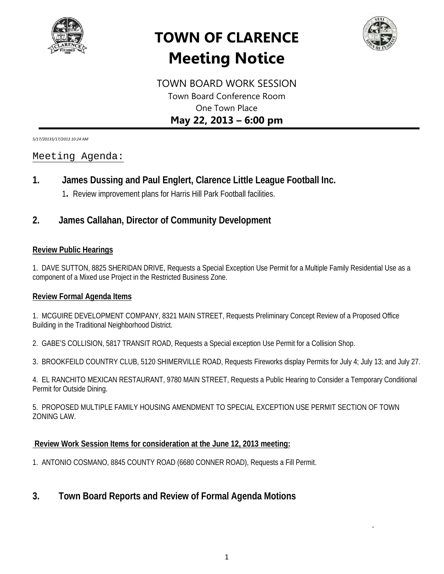

# **TOWN OF CLARENCE Meeting Notice**



*`*

TOWN BOARD WORK SESSION Town Board Conference Room One Town Place **May 22, 2013 – 6:00 pm**

*5/17/20135/17/2013 10:24 AM*

## Meeting Agenda:

# **1. James Dussing and Paul Englert, Clarence Little League Football Inc.**

1**.** Review improvement plans for Harris Hill Park Football facilities.

# **2. James Callahan, Director of Community Development**

#### **Review Public Hearings**

1. DAVE SUTTON, 8825 SHERIDAN DRIVE, Requests a Special Exception Use Permit for a Multiple Family Residential Use as a component of a Mixed use Project in the Restricted Business Zone.

#### **Review Formal Agenda Items**

1. MCGUIRE DEVELOPMENT COMPANY, 8321 MAIN STREET, Requests Preliminary Concept Review of a Proposed Office Building in the Traditional Neighborhood District.

2. GABE'S COLLISION, 5817 TRANSIT ROAD, Requests a Special exception Use Permit for a Collision Shop.

3. BROOKFEILD COUNTRY CLUB, 5120 SHIMERVILLE ROAD, Requests Fireworks display Permits for July 4; July 13; and July 27.

4. EL RANCHITO MEXICAN RESTAURANT, 9780 MAIN STREET, Requests a Public Hearing to Consider a Temporary Conditional Permit for Outside Dining.

5. PROPOSED MULTIPLE FAMILY HOUSING AMENDMENT TO SPECIAL EXCEPTION USE PERMIT SECTION OF TOWN ZONING LAW.

## **Review Work Session Items for consideration at the June 12, 2013 meeting:**

1. ANTONIO COSMANO, 8845 COUNTY ROAD (6680 CONNER ROAD), Requests a Fill Permit.

# **3. Town Board Reports and Review of Formal Agenda Motions**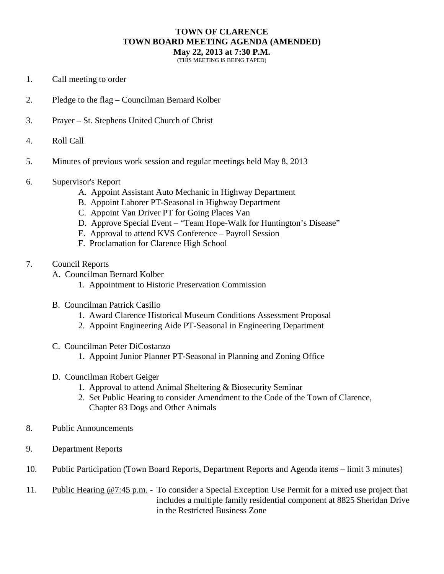## **TOWN OF CLARENCE TOWN BOARD MEETING AGENDA (AMENDED)**

**May 22, 2013 at 7:30 P.M.**

(THIS MEETING IS BEING TAPED)

- 1. Call meeting to order
- 2. Pledge to the flag Councilman Bernard Kolber
- 3. Prayer St. Stephens United Church of Christ
- 4. Roll Call
- 5. Minutes of previous work session and regular meetings held May 8, 2013
- 6. Supervisor's Report
	- A. Appoint Assistant Auto Mechanic in Highway Department
	- B. Appoint Laborer PT-Seasonal in Highway Department
	- C. Appoint Van Driver PT for Going Places Van
	- D. Approve Special Event "Team Hope-Walk for Huntington's Disease"
	- E. Approval to attend KVS Conference Payroll Session
	- F. Proclamation for Clarence High School
- 7. Council Reports
	- A. Councilman Bernard Kolber
		- 1. Appointment to Historic Preservation Commission
	- B. Councilman Patrick Casilio
		- 1. Award Clarence Historical Museum Conditions Assessment Proposal
		- 2. Appoint Engineering Aide PT-Seasonal in Engineering Department
	- C. Councilman Peter DiCostanzo
		- 1. Appoint Junior Planner PT-Seasonal in Planning and Zoning Office
	- D. Councilman Robert Geiger
		- 1. Approval to attend Animal Sheltering & Biosecurity Seminar
		- 2. Set Public Hearing to consider Amendment to the Code of the Town of Clarence, Chapter 83 Dogs and Other Animals
- 8. Public Announcements
- 9. Department Reports
- 10. Public Participation (Town Board Reports, Department Reports and Agenda items limit 3 minutes)
- 11. Public Hearing @7:45 p.m. To consider a Special Exception Use Permit for a mixed use project that includes a multiple family residential component at 8825 Sheridan Drive in the Restricted Business Zone